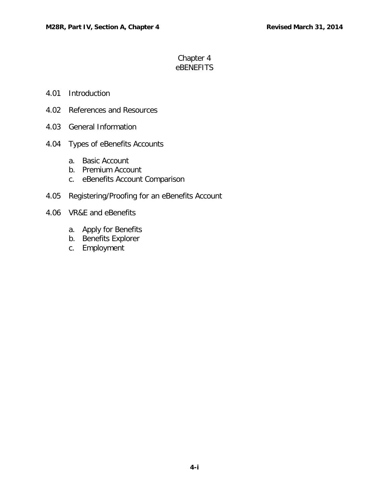# Chapter 4 eBENEFITS

### 4.01 [Introduction](#page-1-0)

- 4.02 [References and Resources](#page-1-1)
- 4.03 [General Information](#page-1-2)
- 4.04 [Types of eBenefits Accounts](#page-1-3)
	- a. [Basic Account](#page-2-0)
	- b. [Premium Account](#page-2-1)
	- c. [eBenefits Account Comparison](#page-2-2)
- 4.05 [Registering/Proofing for an](#page-3-0) eBenefits Account
- 4.06 [VR&E and eBenefits](#page-5-0)
	- a. [Apply for Benefits](#page-5-1)
	- b. [Benefits Explorer](#page-5-2)
	- c. [Employment](#page-6-0)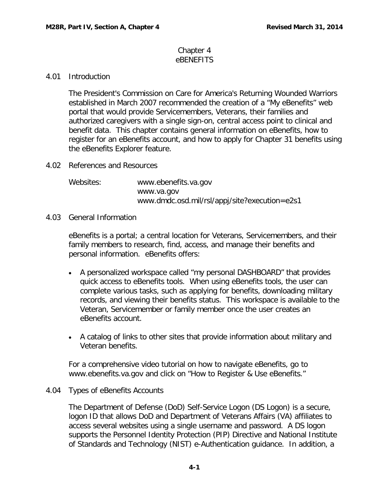#### Chapter 4 eBENEFITS

# <span id="page-1-0"></span>4.01 Introduction

The President's Commission on Care for America's Returning Wounded Warriors established in March 2007 recommended the creation of a "My eBenefits" web portal that would provide Servicemembers, Veterans, their families and authorized caregivers with a single sign-on, central access point to clinical and benefit data. This chapter contains general information on eBenefits, how to register for an eBenefits account, and how to apply for Chapter 31 benefits using the eBenefits Explorer feature.

<span id="page-1-1"></span>4.02 References and Resources

Websites: [www.ebenefits.va.gov](http://www.ebenefits.va.gov/) [www.va.gov](http://www.va.gov/) www.dmdc.osd.mil/rsl/appj/site?execution=e2s1

<span id="page-1-2"></span>4.03 General Information

eBenefits is a portal; a central location for Veterans, Servicemembers, and their family members to research, find, access, and manage their benefits and personal information. eBenefits offers:

- A personalized workspace called "my personal DASHBOARD" that provides quick access to eBenefits tools. When using eBenefits tools, the user can complete various tasks, such as applying for benefits, downloading military records, and viewing their benefits status. This workspace is available to the Veteran, Servicemember or family member once the user creates an eBenefits account.
- A catalog of links to other sites that provide information about military and Veteran benefits.

For a comprehensive video tutorial on how to navigate eBenefits, go to [www.ebenefits.va.gov](http://www.ebenefits.va.gov/) and click on "How to Register & Use eBenefits."

# <span id="page-1-3"></span>4.04 Types of eBenefits Accounts

The Department of Defense (DoD) Self-Service Logon (DS Logon) is a secure, logon ID that allows DoD and Department of Veterans Affairs (VA) affiliates to access several websites using a single username and password. A DS logon supports the Personnel Identity Protection (PIP) Directive and National Institute of Standards and Technology (NIST) e-Authentication guidance. In addition, a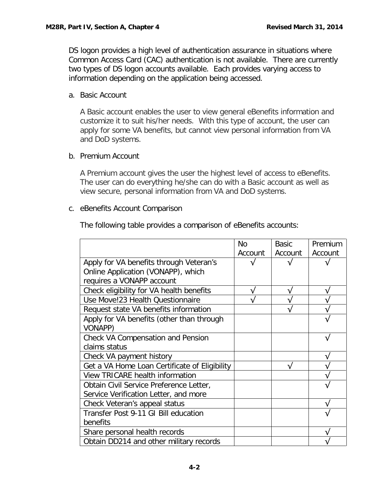DS logon provides a high level of authentication assurance in situations where Common Access Card (CAC) authentication is not available. There are currently two types of DS logon accounts available. Each provides varying access to information depending on the application being accessed.

### <span id="page-2-0"></span>a. Basic Account

A Basic account enables the user to view general eBenefits information and customize it to suit his/her needs. With this type of account, the user can apply for some VA benefits, but cannot view personal information from VA and DoD systems.

# <span id="page-2-1"></span>b. Premium Account

A Premium account gives the user the highest level of access to eBenefits. The user can do everything he/she can do with a Basic account as well as view secure, personal information from VA and DoD systems.

#### <span id="page-2-2"></span>c. eBenefits Account Comparison

The following table provides a comparison of eBenefits accounts:

|                                               | <b>No</b> | <b>Basic</b> | Premium |
|-----------------------------------------------|-----------|--------------|---------|
|                                               | Account   | Account      | Account |
| Apply for VA benefits through Veteran's       |           |              |         |
| Online Application (VONAPP), which            |           |              |         |
| requires a VONAPP account                     |           |              |         |
| Check eligibility for VA health benefits      | ν         | ٦            |         |
| Use Move!23 Health Questionnaire              |           |              |         |
| Request state VA benefits information         |           |              |         |
| Apply for VA benefits (other than through     |           |              |         |
| <b>VONAPP)</b>                                |           |              |         |
| Check VA Compensation and Pension             |           |              |         |
| claims status                                 |           |              |         |
| Check VA payment history                      |           |              |         |
| Get a VA Home Loan Certificate of Eligibility |           |              |         |
| <b>View TRICARE health information</b>        |           |              |         |
| Obtain Civil Service Preference Letter,       |           |              |         |
| Service Verification Letter, and more         |           |              |         |
| Check Veteran's appeal status                 |           |              |         |
| Transfer Post 9-11 GI Bill education          |           |              |         |
| benefits                                      |           |              |         |
| Share personal health records                 |           |              |         |
| Obtain DD214 and other military records       |           |              |         |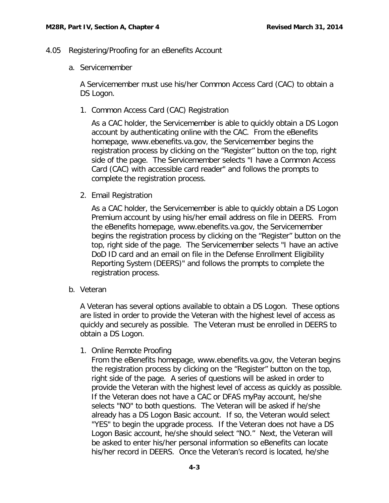- <span id="page-3-0"></span>4.05 Registering/Proofing for an eBenefits Account
	- a. Servicemember

A Servicemember must use his/her Common Access Card (CAC) to obtain a DS Logon.

1. Common Access Card (CAC) Registration

As a CAC holder, the Servicemember is able to quickly obtain a DS Logon account by authenticating online with the CAC. From the eBenefits homepage, [www.ebenefits.va.gov,](http://www.ebenefits.va.gov/) the Servicemember begins the registration process by clicking on the "Register" button on the top, right side of the page. The Servicemember selects "I have a Common Access Card (CAC) with accessible card reader" and follows the prompts to complete the registration process.

2. Email Registration

As a CAC holder, the Servicemember is able to quickly obtain a DS Logon Premium account by using his/her email address on file in DEERS. From the eBenefits homepage, [www.ebenefits.va.gov,](http://www.ebenefits.va.gov/) the Servicemember begins the registration process by clicking on the "Register" button on the top, right side of the page. The Servicemember selects "I have an active DoD ID card and an email on file in the Defense Enrollment Eligibility Reporting System (DEERS)" and follows the prompts to complete the registration process.

b. Veteran

A Veteran has several options available to obtain a DS Logon. These options are listed in order to provide the Veteran with the highest level of access as quickly and securely as possible. The Veteran must be enrolled in DEERS to obtain a DS Logon.

1. Online Remote Proofing

From the eBenefits homepage, [www.ebenefits.va.gov,](http://www.ebenefits.va.gov/) the Veteran begins the registration process by clicking on the "Register" button on the top, right side of the page. A series of questions will be asked in order to provide the Veteran with the highest level of access as quickly as possible. If the Veteran does not have a CAC or DFAS myPay account, he/she selects "NO" to both questions. The Veteran will be asked if he/she already has a DS Logon Basic account. If so, the Veteran would select "YES" to begin the upgrade process. If the Veteran does not have a DS Logon Basic account, he/she should select "NO." Next, the Veteran will be asked to enter his/her personal information so eBenefits can locate his/her record in DEERS. Once the Veteran's record is located, he/she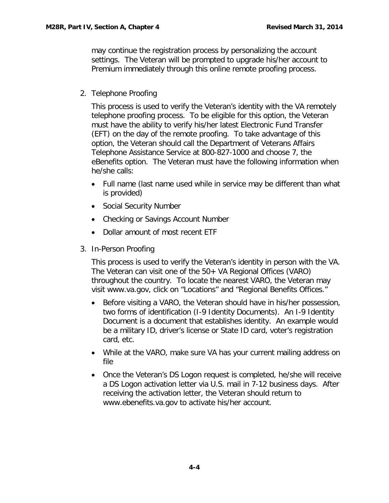may continue the registration process by personalizing the account settings. The Veteran will be prompted to upgrade his/her account to Premium immediately through this online remote proofing process.

2. Telephone Proofing

This process is used to verify the Veteran's identity with the VA remotely telephone proofing process. To be eligible for this option, the Veteran must have the ability to verify his/her latest Electronic Fund Transfer (EFT) on the day of the remote proofing. To take advantage of this option, the Veteran should call the Department of Veterans Affairs Telephone Assistance Service at 800-827-1000 and choose 7, the eBenefits option. The Veteran must have the following information when he/she calls:

- Full name (last name used while in service may be different than what is provided)
- Social Security Number
- Checking or Savings Account Number
- Dollar amount of most recent ETF
- 3. In-Person Proofing

This process is used to verify the Veteran's identity in person with the VA. The Veteran can visit one of the 50+ VA Regional Offices (VARO) throughout the country. To locate the nearest VARO, the Veteran may visit [www.va.gov,](http://www.va.gov/) click on "Locations" and "Regional Benefits Offices."

- Before visiting a VARO, the Veteran should have in his/her possession, two forms of identification (I-9 Identity Documents). An I-9 Identity Document is a document that establishes identity. An example would be a military ID, driver's license or State ID card, voter's registration card, etc.
- While at the VARO, make sure VA has your current mailing address on file
- Once the Veteran's DS Logon request is completed, he/she will receive a DS Logon activation letter via U.S. mail in 7-12 business days. After receiving the activation letter, the Veteran should return to [www.ebenefits.va.gov](http://www.ebenefits.va.gov/) to activate his/her account.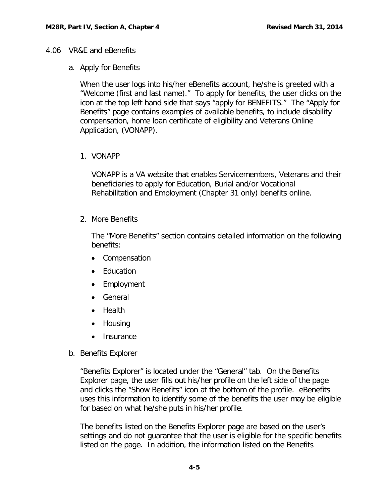#### <span id="page-5-1"></span><span id="page-5-0"></span>4.06 VR&E and eBenefits

### a. Apply for Benefits

When the user logs into his/her eBenefits account, he/she is greeted with a "Welcome (first and last name)." To apply for benefits, the user clicks on the icon at the top left hand side that says "apply for BENEFITS." The "Apply for Benefits" page contains examples of available benefits, to include disability compensation, home loan certificate of eligibility and Veterans Online Application, (VONAPP).

# 1. VONAPP

VONAPP is a VA website that enables Servicemembers, Veterans and their beneficiaries to apply for Education, Burial and/or Vocational Rehabilitation and Employment (Chapter 31 only) benefits online.

2. More Benefits

The "More Benefits" section contains detailed information on the following benefits:

- Compensation
- Education
- Employment
- General
- Health
- Housing
- **Insurance**
- <span id="page-5-2"></span>b. Benefits Explorer

"Benefits Explorer" is located under the "General" tab. On the Benefits Explorer page, the user fills out his/her profile on the left side of the page and clicks the "Show Benefits" icon at the bottom of the profile. eBenefits uses this information to identify some of the benefits the user may be eligible for based on what he/she puts in his/her profile.

The benefits listed on the Benefits Explorer page are based on the user's settings and do not guarantee that the user is eligible for the specific benefits listed on the page. In addition, the information listed on the Benefits